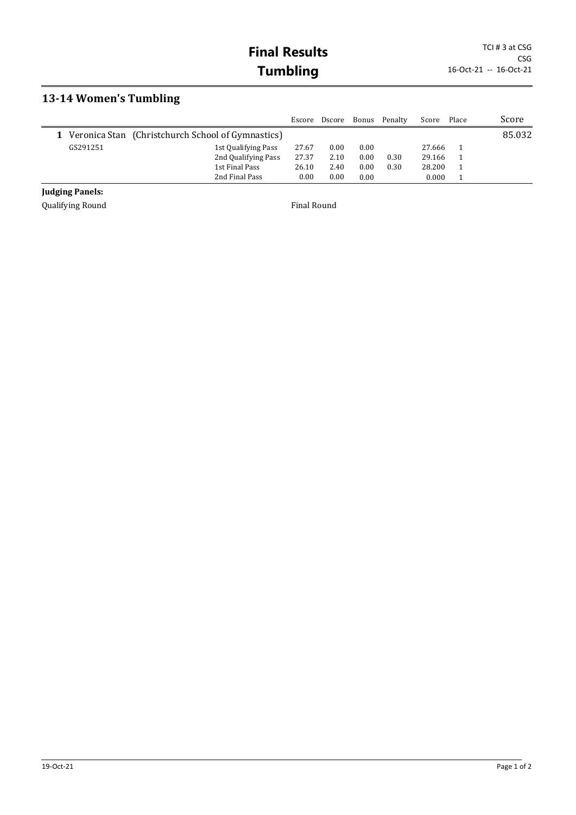## **13-14 Women's Tumbling**

|          |                                                            | Escore | Dscore | Bonus    | Penalty | Score  | Place | Score  |
|----------|------------------------------------------------------------|--------|--------|----------|---------|--------|-------|--------|
|          | <b>1</b> Veronica Stan (Christchurch School of Gymnastics) |        |        |          |         |        |       | 85.032 |
| GS291251 | 1st Qualifying Pass                                        | 27.67  | 0.00   | 0.00     |         | 27.666 |       |        |
|          | 2nd Qualifying Pass                                        | 27.37  | 2.10   | $0.00\,$ | 0.30    | 29.166 |       |        |
|          | 1st Final Pass                                             | 26.10  | 2.40   | $0.00\,$ | 0.30    | 28.200 |       |        |
|          | 2nd Final Pass                                             | 0.00   | 0.00   | 0.00     |         | 0.000  |       |        |

## **Judging Panels:**

Qualifying Round **Final Round Final Round**